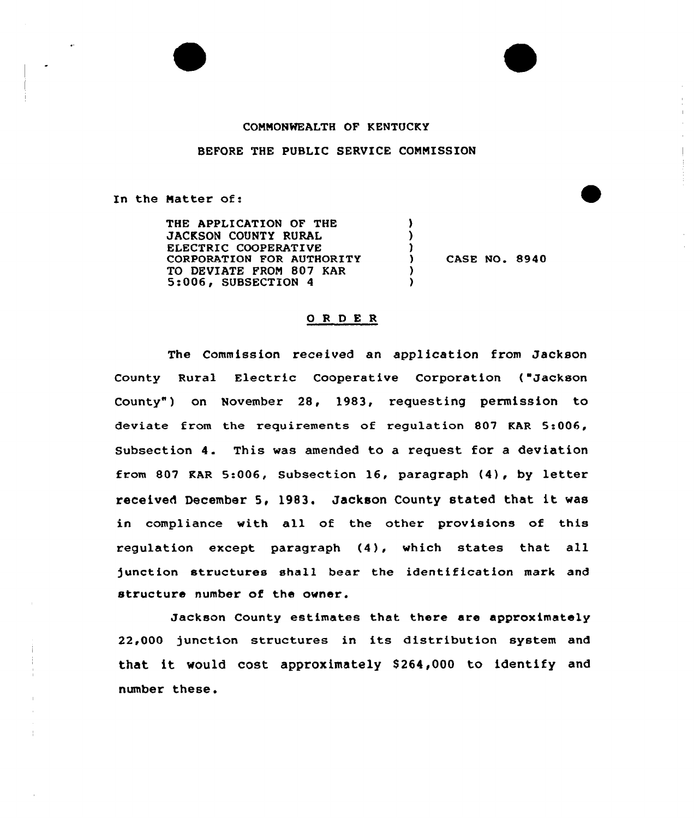

## COMMONWEALTH OF KENTUCKY

## BEFORE THE PUBLIC SERVICE COMMISSION

In the Matter of:

THE APPLICATION OF THE JACKSON COUNTY RURAL ELECTRIC COOPERATIVE CORPORATION FOR AUTHORITY TO DEVIATE PROM 807 KAR 5:006, SUBSECTION 4

) CASE NO. 8940

## ORDER

) ) )

> ) )

The Commission received an application from Jackson County Rural Electric Cooperative Corporation ("Jackson County") on November 28, 1983, requesting permission to deviate from the requirements of regulation 807 KAR 5:006, Subsection 4. This was amended to a request for <sup>a</sup> deviation from <sup>807</sup> KAR 5:006, Subsection 16, paragraph {4), by letter received December 5, 1983. Jackson County stated that it was in compliance with all of the other provisions of this regulation except paragraph (4), which states that all junction structures shall bear the identification mark and structure number of the owner.

Jackson County estimates that there are approximately 22,000 junction structures in its distribution system and that it would cost approximately \$264,000 to identify and number these.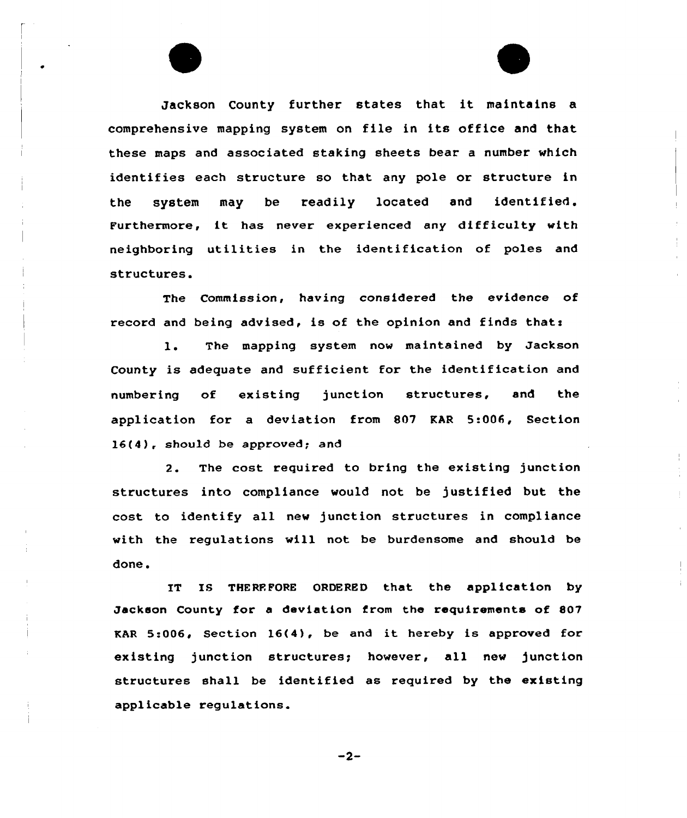Jackson County further states that it maintains <sup>a</sup> comprehensive mapping system on file in its office and that these maps and associated staking sheets bear a number which identifies each structure so that any pole or structure in the system may be readily located and identified. Furthermore, it has never experienced any difficulty with neighboring utilities in the identification of poles and structures.

The Commission, having considered the evidence of record and being advised, is of the opinion and finds thats

l. The mapping system now maintained by Jackson County is adequate and sufficient for the identification and numbering of existing junction structures, and the application for a deviation from 807 KAR 5:006, Section 16(4), should be approved; and

2. The cost required to bring the existing junction structures into compliance would not be justified but the cost to identify all new junction structures in compliance with the regulations will not be burdensome and should be done.

IT IS THEREFORE ORDERED that the application by Jackson County for a deviation from the requirements of 807 EAR 5:006, Section 16(4), be and it hereby is approved for existing junction structures; however, all new junction structures shall be identified as required by the existing applicable regulations.

 $-2-$